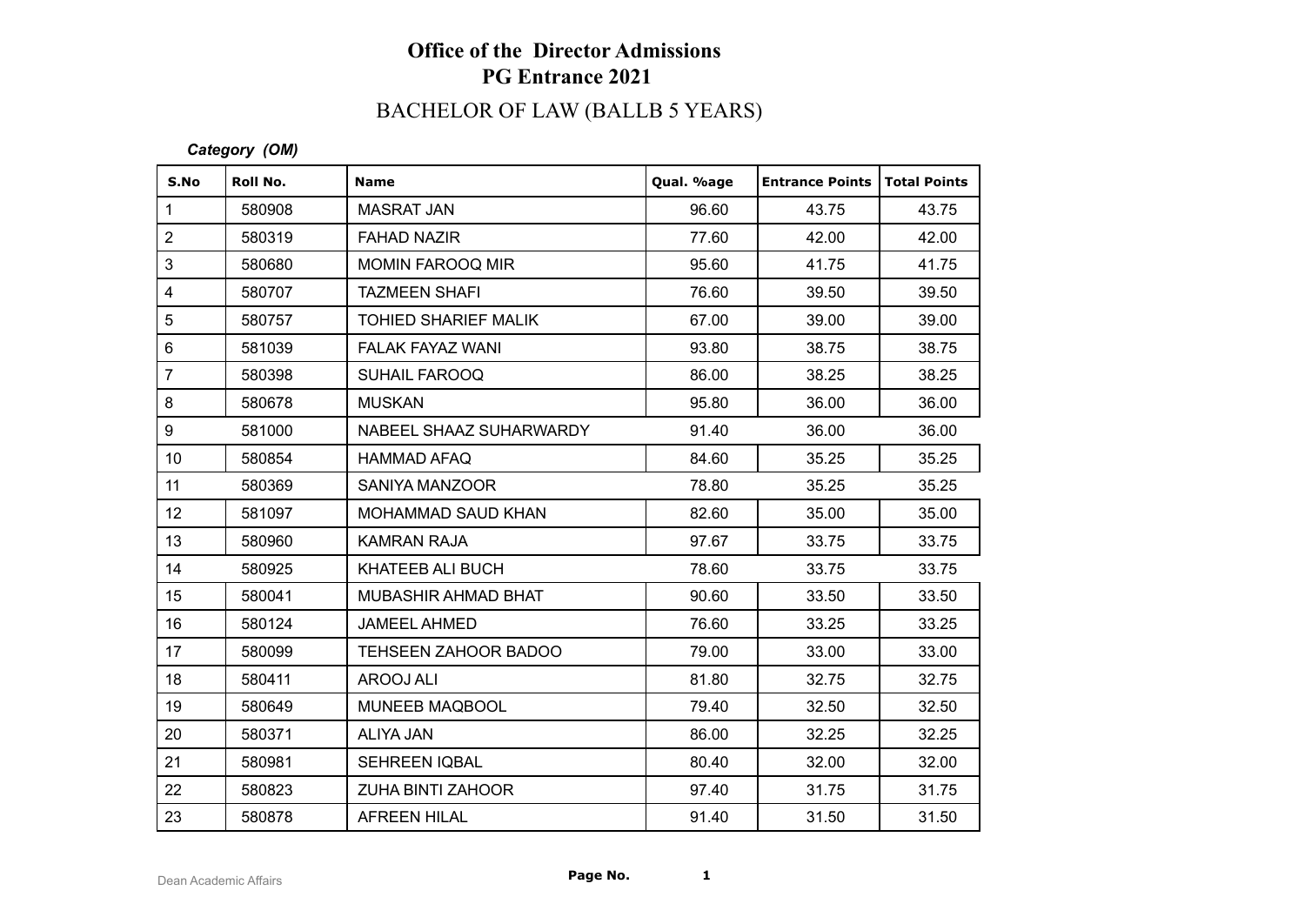# BACHELOR OF LAW (BALLB 5 YEARS)

#### *Category (OM)*

| S.No                    | Roll No. | <b>Name</b>              | Qual. %age | <b>Entrance Points   Total Points</b> |       |
|-------------------------|----------|--------------------------|------------|---------------------------------------|-------|
| $\mathbf{1}$            | 580908   | <b>MASRAT JAN</b>        | 96.60      | 43.75                                 | 43.75 |
| $\overline{2}$          | 580319   | <b>FAHAD NAZIR</b>       | 77.60      | 42.00                                 | 42.00 |
| 3                       | 580680   | <b>MOMIN FAROOQ MIR</b>  | 95.60      | 41.75                                 | 41.75 |
| $\overline{\mathbf{4}}$ | 580707   | <b>TAZMEEN SHAFI</b>     | 76.60      | 39.50                                 | 39.50 |
| 5                       | 580757   | TOHIED SHARIEF MALIK     | 67.00      | 39.00                                 | 39.00 |
| $6\phantom{1}$          | 581039   | <b>FALAK FAYAZ WANI</b>  | 93.80      | 38.75                                 | 38.75 |
| $\overline{7}$          | 580398   | <b>SUHAIL FAROOQ</b>     | 86.00      | 38.25                                 | 38.25 |
| 8                       | 580678   | <b>MUSKAN</b>            | 95.80      | 36.00                                 | 36.00 |
| 9                       | 581000   | NABEEL SHAAZ SUHARWARDY  | 91.40      | 36.00                                 | 36.00 |
| 10 <sup>°</sup>         | 580854   | <b>HAMMAD AFAQ</b>       | 84.60      | 35.25                                 | 35.25 |
| 11                      | 580369   | SANIYA MANZOOR           | 78.80      | 35.25                                 | 35.25 |
| 12 <sub>2</sub>         | 581097   | MOHAMMAD SAUD KHAN       | 82.60      | 35.00                                 | 35.00 |
| 13                      | 580960   | <b>KAMRAN RAJA</b>       | 97.67      | 33.75                                 | 33.75 |
| 14                      | 580925   | KHATEEB ALI BUCH         | 78.60      | 33.75                                 | 33.75 |
| 15 <sub>15</sub>        | 580041   | MUBASHIR AHMAD BHAT      | 90.60      | 33.50                                 | 33.50 |
| 16                      | 580124   | <b>JAMEEL AHMED</b>      | 76.60      | 33.25                                 | 33.25 |
| 17                      | 580099   | TEHSEEN ZAHOOR BADOO     | 79.00      | 33.00                                 | 33.00 |
| 18                      | 580411   | AROOJ ALI                | 81.80      | 32.75                                 | 32.75 |
| 19                      | 580649   | MUNEEB MAQBOOL           | 79.40      | 32.50                                 | 32.50 |
| 20                      | 580371   | ALIYA JAN                | 86.00      | 32.25                                 | 32.25 |
| 21                      | 580981   | <b>SEHREEN IQBAL</b>     | 80.40      | 32.00                                 | 32.00 |
| 22                      | 580823   | <b>ZUHA BINTI ZAHOOR</b> | 97.40      | 31.75                                 | 31.75 |
| 23                      | 580878   | <b>AFREEN HILAL</b>      | 91.40      | 31.50                                 | 31.50 |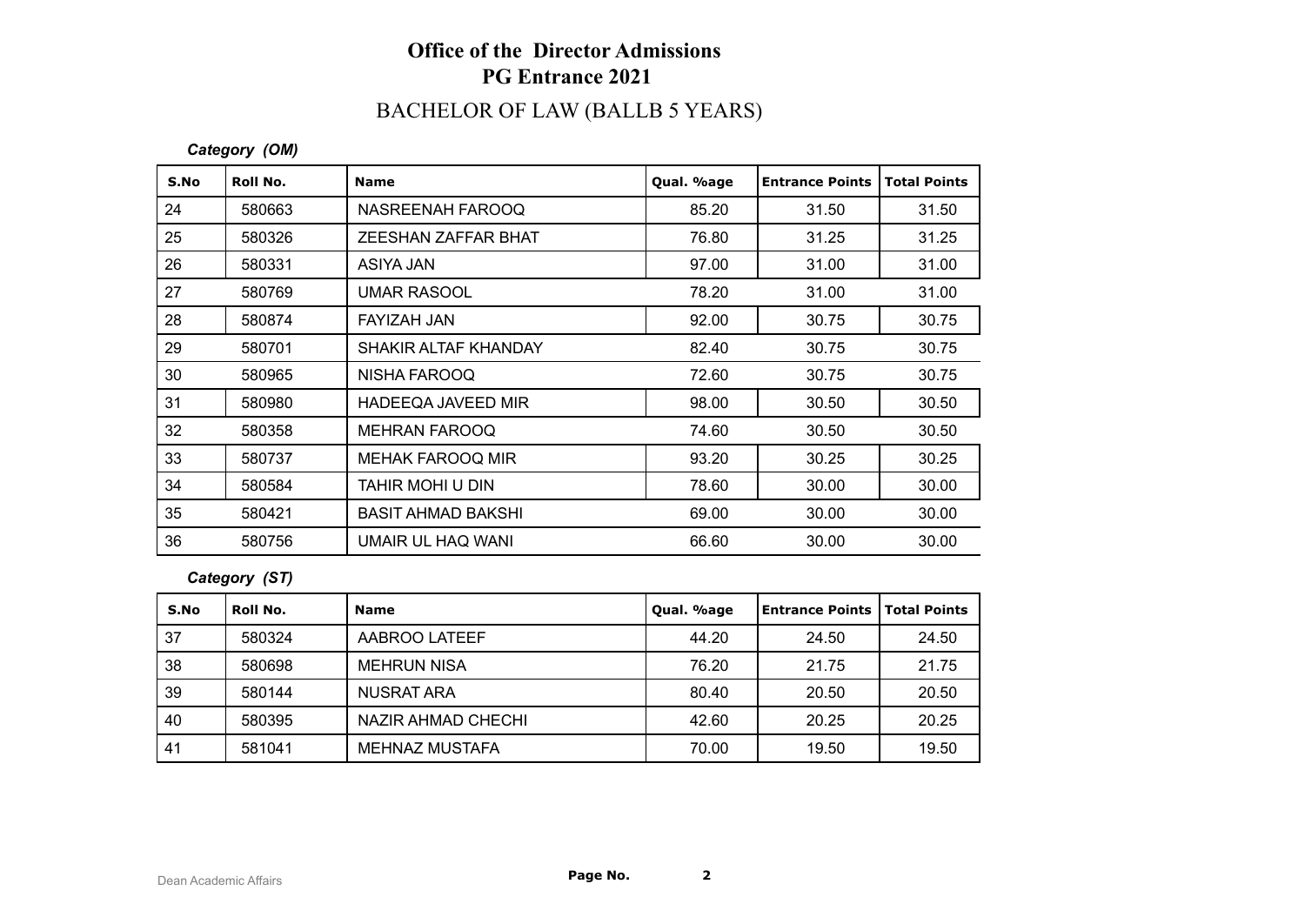# BACHELOR OF LAW (BALLB 5 YEARS)

#### *Category (OM)*

| S.No | Roll No. | <b>Name</b>               | Qual. %age | <b>Entrance Points</b> | <b>Total Points</b> |
|------|----------|---------------------------|------------|------------------------|---------------------|
| 24   | 580663   | NASREENAH FAROOQ          | 85.20      | 31.50                  | 31.50               |
| 25   | 580326   | ZEESHAN ZAFFAR BHAT       | 76.80      | 31.25                  | 31.25               |
| 26   | 580331   | ASIYA JAN                 | 97.00      | 31.00                  | 31.00               |
| 27   | 580769   | <b>UMAR RASOOL</b>        | 78.20      | 31.00                  | 31.00               |
| 28   | 580874   | FAYIZAH JAN               | 92.00      | 30.75                  | 30.75               |
| 29   | 580701   | SHAKIR ALTAF KHANDAY      | 82.40      | 30.75                  | 30.75               |
| 30   | 580965   | NISHA FAROOQ              | 72.60      | 30.75                  | 30.75               |
| 31   | 580980   | HADEEQA JAVEED MIR        | 98.00      | 30.50                  | 30.50               |
| 32   | 580358   | <b>MEHRAN FAROOQ</b>      | 74.60      | 30.50                  | 30.50               |
| 33   | 580737   | <b>MEHAK FAROOQ MIR</b>   | 93.20      | 30.25                  | 30.25               |
| 34   | 580584   | TAHIR MOHI U DIN          | 78.60      | 30.00                  | 30.00               |
| 35   | 580421   | <b>BASIT AHMAD BAKSHI</b> | 69.00      | 30.00                  | 30.00               |
| 36   | 580756   | UMAIR UL HAQ WANI         | 66.60      | 30.00                  | 30.00               |

#### *Category (ST)*

| S.No | Roll No. | <b>Name</b>        | Qual. %age | Entrance Points   Total Points |       |
|------|----------|--------------------|------------|--------------------------------|-------|
| 37   | 580324   | AABROO LATEEF      | 44.20      | 24.50                          | 24.50 |
| 38   | 580698   | MEHRUN NISA        | 76.20      | 21.75                          | 21.75 |
| 39   | 580144   | NUSRAT ARA         | 80.40      | 20.50                          | 20.50 |
| 40   | 580395   | NAZIR AHMAD CHECHI | 42.60      | 20.25                          | 20.25 |
| 41   | 581041   | MEHNAZ MUSTAFA     | 70.00      | 19.50                          | 19.50 |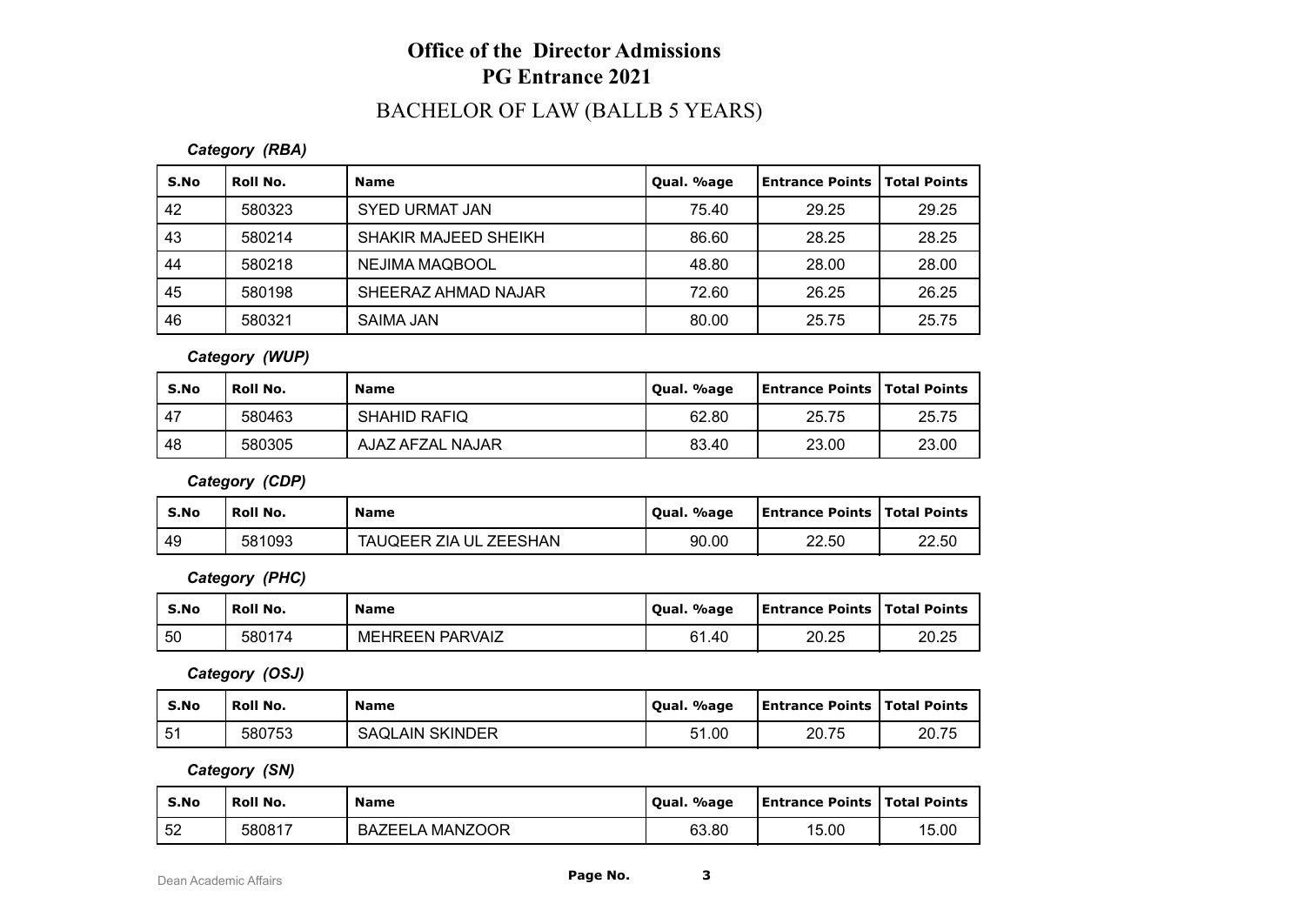### BACHELOR OF LAW (BALLB 5 YEARS)

#### *Category (RBA)*

| S.No | Roll No. | <b>Name</b>           | Qual. %age | Entrance Points   Total Points |       |
|------|----------|-----------------------|------------|--------------------------------|-------|
| 42   | 580323   | <b>SYED URMAT JAN</b> | 75.40      | 29.25                          | 29.25 |
| 43   | 580214   | SHAKIR MAJEED SHEIKH  | 86.60      | 28.25                          | 28.25 |
| 44   | 580218   | NEJIMA MAQBOOL        | 48.80      | 28.00                          | 28.00 |
| 45   | 580198   | SHEERAZ AHMAD NAJAR   | 72.60      | 26.25                          | 26.25 |
| 46   | 580321   | <b>SAIMA JAN</b>      | 80.00      | 25.75                          | 25.75 |

#### *Category (WUP)*

| S.No | <b>Roll No.</b> | <b>Name</b>         | Qual. %age | <b>Entrance Points   Total Points</b> |       |
|------|-----------------|---------------------|------------|---------------------------------------|-------|
| , 47 | 580463          | <b>SHAHID RAFIQ</b> | 62.80      | 25.75                                 | 25.75 |
| -48  | 580305          | AJAZ AFZAL NAJAR    | 83.40      | 23.00                                 | 23.00 |

*Category (CDP)*

| S.No | Roll No. | <b>Name</b>                      | Qual. %age | <b>Entrance Points   Total Points</b> |       |
|------|----------|----------------------------------|------------|---------------------------------------|-------|
| -49  | 581093   | <b>ZEESHAN</b><br>TAUQEER ZIA UL | 90.00      | 22.50                                 | 22.50 |

*Category (PHC)*

| S.No | <b>Roll No.</b> | <b>Name</b>            | Oual. %age | <b>Entrance Points   Total Points</b> |       |
|------|-----------------|------------------------|------------|---------------------------------------|-------|
| 50   | 580174          | <b>MEHREEN PARVAIZ</b> | 61.40      | 20.25                                 | 20.25 |

*Category (OSJ)*

| S.No | Roll No. | Name                   | Oual, %age | Entrance Points   Total Points |       |
|------|----------|------------------------|------------|--------------------------------|-------|
| 51   | 580753   | <b>SAQLAIN SKINDER</b> | 51.00      | 20.75                          | 20.75 |

*Category (SN)*

| S.No | <b>Roll No.</b> | <b>Name</b>     | Oual. %age | <b>Entrance Points   Total Points</b> |       |
|------|-----------------|-----------------|------------|---------------------------------------|-------|
| -52  | 580817          | BAZEELA MANZOOR | 63.80      | 15.00                                 | 15.00 |